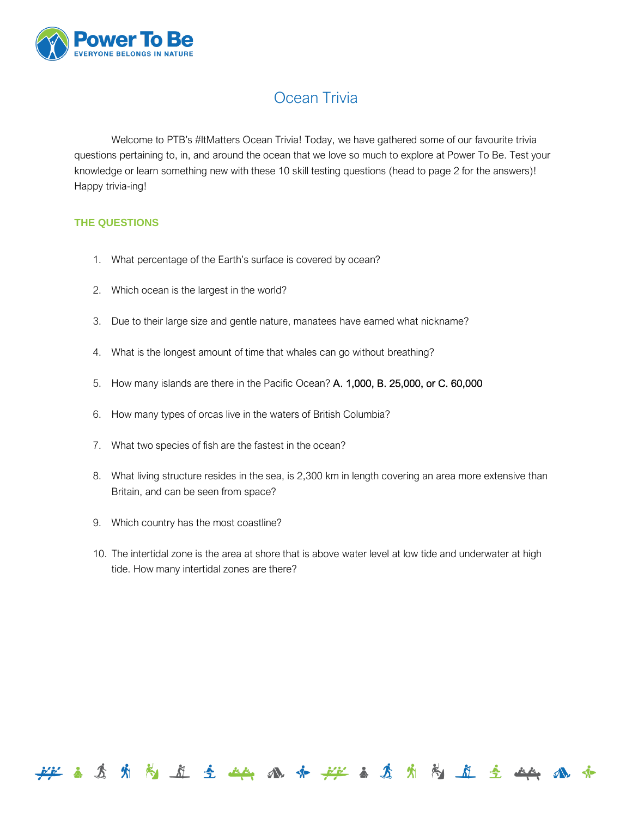

## Ocean Trivia

Welcome to PTB's #ItMatters Ocean Trivia! Today, we have gathered some of our favourite trivia questions pertaining to, in, and around the ocean that we love so much to explore at Power To Be. Test your knowledge or learn something new with these 10 skill testing questions (head to page 2 for the answers)! Happy trivia-ing!

## **THE QUESTIONS**

- 1. What percentage of the Earth's surface is covered by ocean?
- 2. Which ocean is the largest in the world?
- 3. Due to their large size and gentle nature, manatees have earned what nickname?
- 4. What is the longest amount of time that whales can go without breathing?
- 5. How many islands are there in the Pacific Ocean? A. 1,000, B. 25,000, or C. 60,000
- 6. How many types of orcas live in the waters of British Columbia?
- 7. What two species of fish are the fastest in the ocean?
- 8. What living structure resides in the sea, i[s 2,300](https://www.google.com/search?q=2,300+km+in+mi&gws_rd=ssl) km in length covering an area more extensive than Britain, and can be seen from space?
- 9. Which country has the most coastline?
- 10. The intertidal zone is the area at shore that is above [water level](https://en.wikipedia.org/wiki/Water_level) at lo[w tide](https://en.wikipedia.org/wiki/Tide) an[d underwater](https://en.wikipedia.org/wiki/Underwater) at high tide. How many intertidal zones are there?

**经主查货用商业主 血病水产 地名马尔内 向 医 战 水**